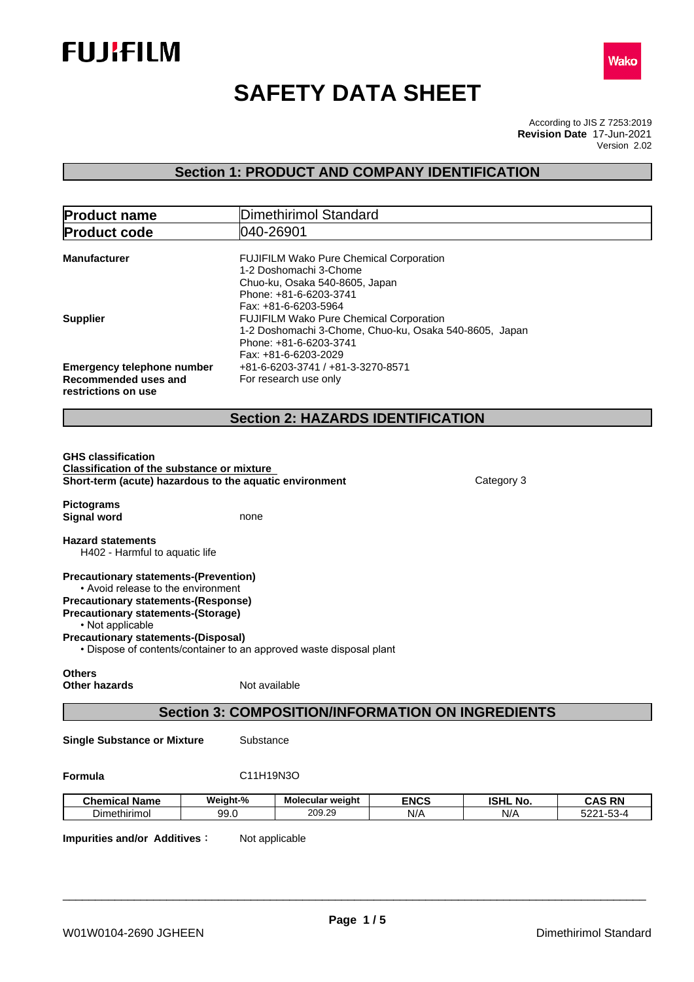



# **SAFETY DATA SHEET**

According to JIS Z 7253:2019 Version 2.02 **Revision Date** 17-Jun-2021

# **Section 1: PRODUCT AND COMPANY IDENTIFICATION**

| <b>Product name</b>                                                                                                                                                                                                                             |               | <b>Dimethirimol Standard</b>                                                                                                                          |                    |                        |                            |
|-------------------------------------------------------------------------------------------------------------------------------------------------------------------------------------------------------------------------------------------------|---------------|-------------------------------------------------------------------------------------------------------------------------------------------------------|--------------------|------------------------|----------------------------|
| <b>Product code</b>                                                                                                                                                                                                                             | 040-26901     |                                                                                                                                                       |                    |                        |                            |
| <b>Manufacturer</b>                                                                                                                                                                                                                             |               | FUJIFILM Wako Pure Chemical Corporation<br>1-2 Doshomachi 3-Chome<br>Chuo-ku, Osaka 540-8605, Japan<br>Phone: +81-6-6203-3741<br>Fax: +81-6-6203-5964 |                    |                        |                            |
| <b>Supplier</b>                                                                                                                                                                                                                                 |               | FUJIFILM Wako Pure Chemical Corporation<br>1-2 Doshomachi 3-Chome, Chuo-ku, Osaka 540-8605, Japan<br>Phone: +81-6-6203-3741<br>Fax: +81-6-6203-2029   |                    |                        |                            |
| <b>Emergency telephone number</b><br>Recommended uses and<br>restrictions on use                                                                                                                                                                |               | +81-6-6203-3741 / +81-3-3270-8571<br>For research use only                                                                                            |                    |                        |                            |
|                                                                                                                                                                                                                                                 |               | <b>Section 2: HAZARDS IDENTIFICATION</b>                                                                                                              |                    |                        |                            |
| <b>GHS classification</b><br><b>Classification of the substance or mixture</b><br>Short-term (acute) hazardous to the aquatic environment                                                                                                       |               |                                                                                                                                                       |                    | Category 3             |                            |
| <b>Pictograms</b>                                                                                                                                                                                                                               |               |                                                                                                                                                       |                    |                        |                            |
| <b>Signal word</b>                                                                                                                                                                                                                              | none          |                                                                                                                                                       |                    |                        |                            |
| <b>Hazard statements</b><br>H402 - Harmful to aquatic life                                                                                                                                                                                      |               |                                                                                                                                                       |                    |                        |                            |
| <b>Precautionary statements-(Prevention)</b><br>• Avoid release to the environment<br><b>Precautionary statements-(Response)</b><br><b>Precautionary statements-(Storage)</b><br>• Not applicable<br><b>Precautionary statements-(Disposal)</b> |               |                                                                                                                                                       |                    |                        |                            |
| <b>Others</b><br><b>Other hazards</b>                                                                                                                                                                                                           | Not available | • Dispose of contents/container to an approved waste disposal plant                                                                                   |                    |                        |                            |
|                                                                                                                                                                                                                                                 |               | <b>Section 3: COMPOSITION/INFORMATION ON INGREDIENTS</b>                                                                                              |                    |                        |                            |
| <b>Single Substance or Mixture</b>                                                                                                                                                                                                              | Substance     |                                                                                                                                                       |                    |                        |                            |
| Formula                                                                                                                                                                                                                                         | C11H19N3O     |                                                                                                                                                       |                    |                        |                            |
| <b>Chemical Name</b>                                                                                                                                                                                                                            | Weight-%      | Molecular weight<br>209.29                                                                                                                            | <b>ENCS</b><br>N/A | <b>ISHL No.</b><br>N/A | <b>CAS RN</b><br>5221-53-4 |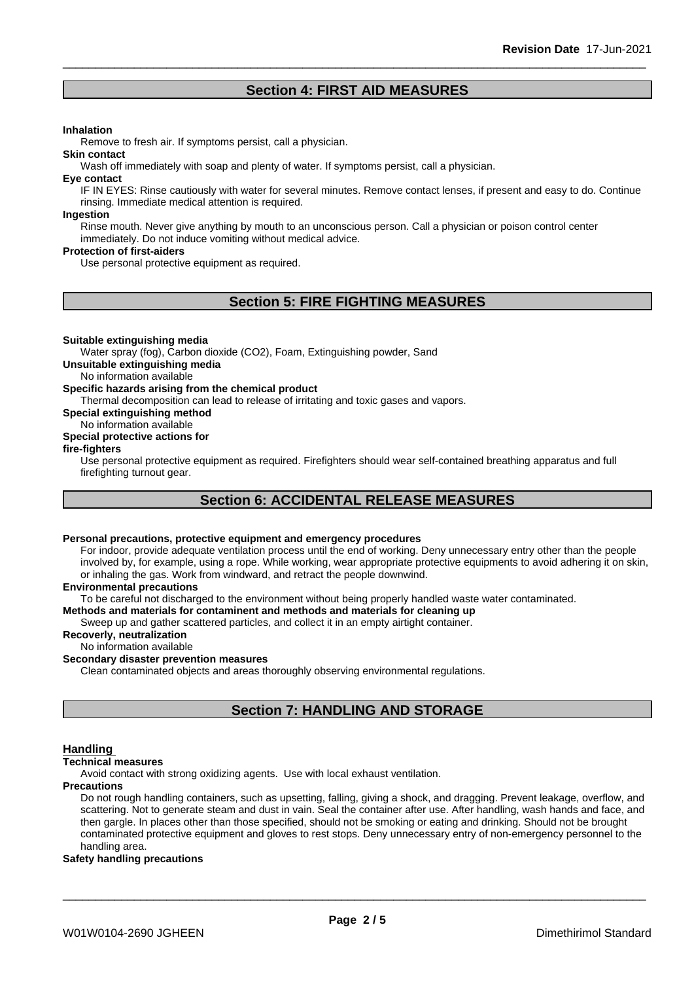# **Section 4: FIRST AID MEASURES**

#### **Inhalation**

Remove to fresh air. If symptoms persist, call a physician.

Wash off immediately with soap and plenty of water. If symptoms persist, call a physician.

#### **Eye contact**

**Skin contact**

IF IN EYES: Rinse cautiously with water for several minutes. Remove contact lenses, if present and easy to do. Continue rinsing. Immediate medical attention is required.

#### **Ingestion**

Rinse mouth. Never give anything by mouth to an unconscious person. Call a physician or poison control center immediately. Do not induce vomiting without medical advice.

#### **Protection of first-aiders**

Use personal protective equipment as required.

# **Section 5: FIRE FIGHTING MEASURES**

#### **Suitable extinguishing media**

Water spray (fog), Carbon dioxide (CO2), Foam, Extinguishing powder, Sand

**Unsuitable extinguishing media**

No information available

#### **Specific hazards arising from the chemical product**

Thermal decomposition can lead to release of irritating and toxic gases and vapors.

**Special extinguishing method**

#### No information available

#### **Special protective actions for**

#### **fire-fighters**

Use personal protective equipment as required.Firefighters should wear self-contained breathing apparatus and full firefighting turnout gear.

# **Section 6: ACCIDENTAL RELEASE MEASURES**

#### **Personal precautions, protective equipment and emergency procedures**

For indoor, provide adequate ventilation process until the end of working. Deny unnecessary entry other than the people involved by, for example, using a rope. While working, wear appropriate protective equipments to avoid adhering it on skin, or inhaling the gas. Work from windward, and retract the people downwind.

#### **Environmental precautions**

To be careful not discharged to the environment without being properly handled waste water contaminated.

#### **Methods and materials for contaminent and methods and materials for cleaning up**

Sweep up and gather scattered particles, and collect it in an empty airtight container.

### **Recoverly, neutralization**

#### No information available

#### **Secondary disaster prevention measures**

Clean contaminated objects and areas thoroughly observing environmental regulations.

# **Section 7: HANDLING AND STORAGE**

#### **Handling**

#### **Technical measures**

Avoid contact with strong oxidizing agents. Use with local exhaust ventilation.

#### **Precautions**

Do not rough handling containers, such as upsetting, falling, giving a shock, and dragging. Prevent leakage, overflow, and scattering. Not to generate steam and dust in vain. Seal the container after use. After handling, wash hands and face, and then gargle. In places other than those specified, should not be smoking or eating and drinking. Should not be brought contaminated protective equipment and gloves to rest stops. Deny unnecessary entry of non-emergency personnel to the handling area.

#### **Safety handling precautions**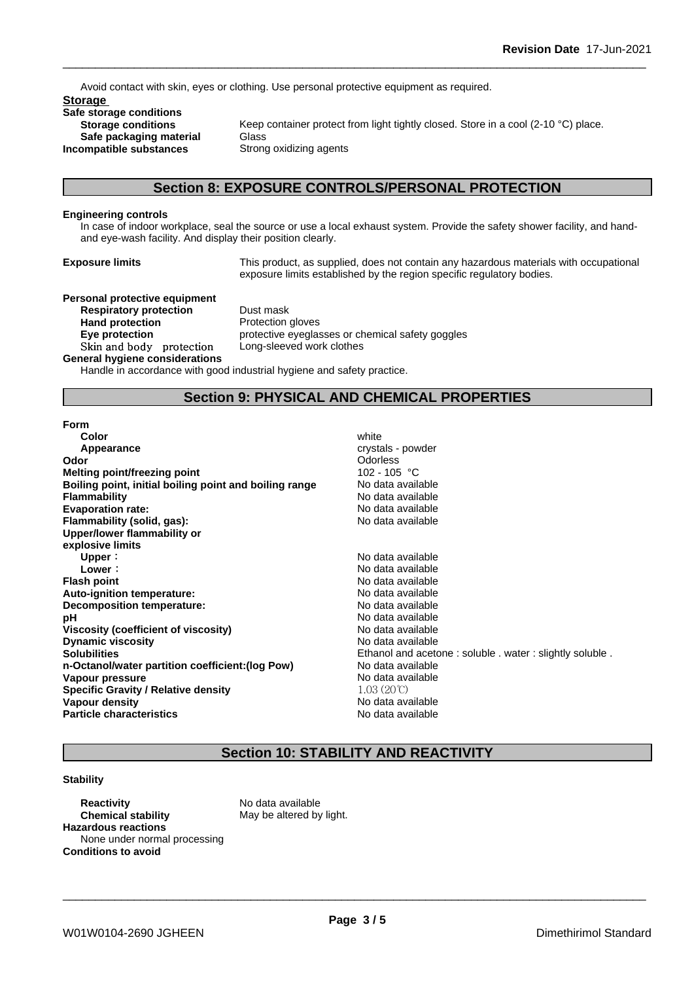Avoid contact with skin, eyes or clothing. Use personal protective equipment as required.

**Storage Safe storage conditions Safe packaging material** Glass<br>**ompatible substances** Strong oxidizing agents **Incompatible** substances

**Storage conditions** Keep container protect from light tightly closed. Store in a cool (2-10 °C) place.

# **Section 8: EXPOSURE CONTROLS/PERSONAL PROTECTION**

#### **Engineering controls**

In case of indoor workplace, seal the source or use a local exhaust system. Provide the safety shower facility, and handand eye-wash facility. And display their position clearly.

**Exposure limits** This product, as supplied, does not contain any hazardous materials with occupational exposure limits established by the region specific regulatory bodies.

# **Personal protective equipment**

**Respiratory protection** Dust mask **Hand protection**<br> **Eye protection**<br> **Eye protection**<br> **Exercise** Skin and body protection Long-sleeved work clothes **General hygiene considerations**

**Eye protection** protective eyeglasses or chemical safety goggles

Handle in accordance with good industrial hygiene and safety practice.

## **Section 9: PHYSICAL AND CHEMICAL PROPERTIES**

#### **Form**

| Color                                                  | white                                                   |
|--------------------------------------------------------|---------------------------------------------------------|
| Appearance                                             | crystals - powder                                       |
| Odor                                                   | <b>Odorless</b>                                         |
| Melting point/freezing point                           | 102 - 105 °C                                            |
| Boiling point, initial boiling point and boiling range | No data available                                       |
| <b>Flammability</b>                                    | No data available                                       |
| <b>Evaporation rate:</b>                               | No data available                                       |
| Flammability (solid, gas):                             | No data available                                       |
| Upper/lower flammability or                            |                                                         |
| explosive limits                                       |                                                         |
| Upper:                                                 | No data available                                       |
| Lower:                                                 | No data available                                       |
| <b>Flash point</b>                                     | No data available                                       |
| Auto-ignition temperature:                             | No data available                                       |
| Decomposition temperature:                             | No data available                                       |
| рH                                                     | No data available                                       |
| Viscosity (coefficient of viscosity)                   | No data available                                       |
| <b>Dynamic viscosity</b>                               | No data available                                       |
| <b>Solubilities</b>                                    | Ethanol and acetone: soluble . water: slightly soluble. |
| n-Octanol/water partition coefficient: (log Pow)       | No data available                                       |
| Vapour pressure                                        | No data available                                       |
| <b>Specific Gravity / Relative density</b>             | $1.03(20^{\circ}\text{C})$                              |
| Vapour density                                         | No data available                                       |
| <b>Particle characteristics</b>                        | No data available                                       |
|                                                        |                                                         |

# **Section 10: STABILITY AND REACTIVITY**

### **Stability**

**Reactivity** No data available **Chemical stability** May be altered by light. **Hazardous reactions** None under normal processing **Conditions to avoid**

\_\_\_\_\_\_\_\_\_\_\_\_\_\_\_\_\_\_\_\_\_\_\_\_\_\_\_\_\_\_\_\_\_\_\_\_\_\_\_\_\_\_\_\_\_\_\_\_\_\_\_\_\_\_\_\_\_\_\_\_\_\_\_\_\_\_\_\_\_\_\_\_\_\_\_\_\_\_\_\_\_\_\_\_\_\_\_\_\_\_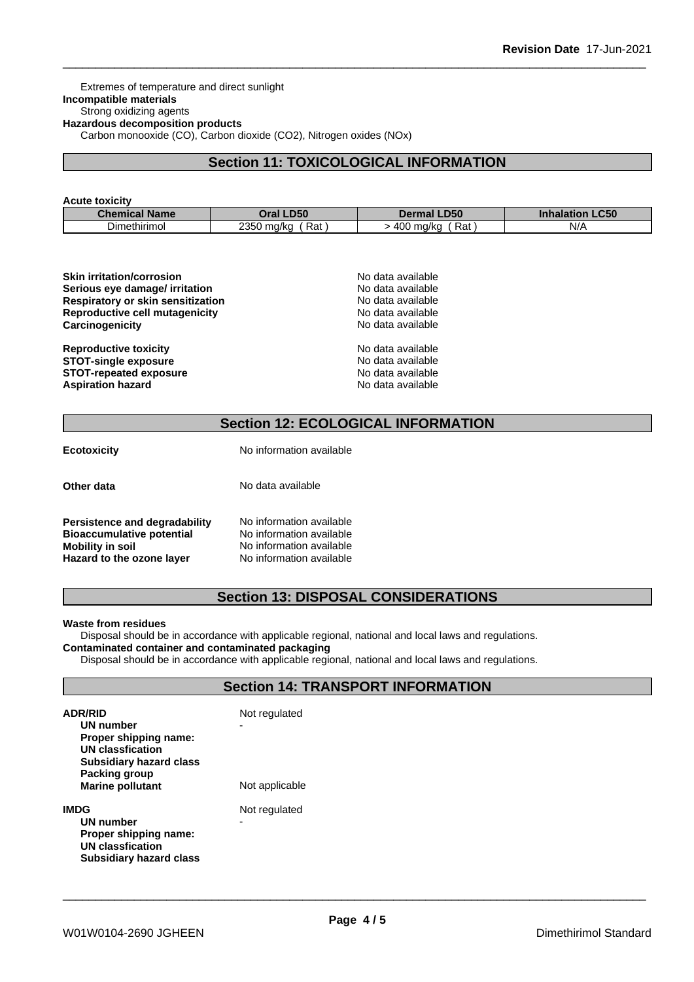Extremes of temperature and direct sunlight **Incompatible materials** Strong oxidizing agents **Hazardous decomposition products** Carbon monooxide (CO), Carbon dioxide (CO2), Nitrogen oxides (NOx)

# **Section 11: TOXICOLOGICAL INFORMATION**

#### **Acute toxicity**

| <b>Chemical</b> | LD50                    | <b>_D50</b>              | $\mathsf{L}$ C50   |
|-----------------|-------------------------|--------------------------|--------------------|
| <b>Name</b>     | <b>Oral</b>             | Dermal                   | Inhalatior         |
| Dimethirimol    | . 350 ma/ka<br>-<br>Rat | -<br>400<br>ma/ka<br>Rat | $N$ //<br>$\cdots$ |

| <b>Skin irritation/corrosion</b>  | No data available |
|-----------------------------------|-------------------|
| Serious eye damage/ irritation    | No data available |
| Respiratory or skin sensitization | No data available |
| Reproductive cell mutagenicity    | No data available |
| Carcinogenicity                   | No data available |
| <b>Reproductive toxicity</b>      | No data available |
| <b>STOT-single exposure</b>       | No data available |
| <b>STOT-repeated exposure</b>     | No data available |
| <b>Aspiration hazard</b>          | No data available |

# **Section 12: ECOLOGICAL INFORMATION**

| <b>Ecotoxicity</b>                                                                    | No information available                                                         |  |
|---------------------------------------------------------------------------------------|----------------------------------------------------------------------------------|--|
| Other data                                                                            | No data available                                                                |  |
| Persistence and degradability<br><b>Bioaccumulative potential</b><br>Mobility in soil | No information available<br>No information available<br>No information available |  |

**Hazard to the ozone layer** No information available

**Section 13: DISPOSAL CONSIDERATIONS**

#### **Waste from residues**

Disposal should be in accordance with applicable regional, national and local laws and regulations. **Contaminated container and contaminated packaging**

Disposal should be in accordance with applicable regional, national and local laws and regulations.

# **Section 14: TRANSPORT INFORMATION**

| <b>ADR/RID</b><br>UN number<br>Proper shipping name:<br>UN classfication<br><b>Subsidiary hazard class</b><br>Packing group<br><b>Marine pollutant</b> | Not regulated<br>-<br>Not applicable |
|--------------------------------------------------------------------------------------------------------------------------------------------------------|--------------------------------------|
| IMDG<br>UN number<br>Proper shipping name:<br>UN classfication<br>Subsidiary hazard class                                                              | Not regulated<br>-                   |